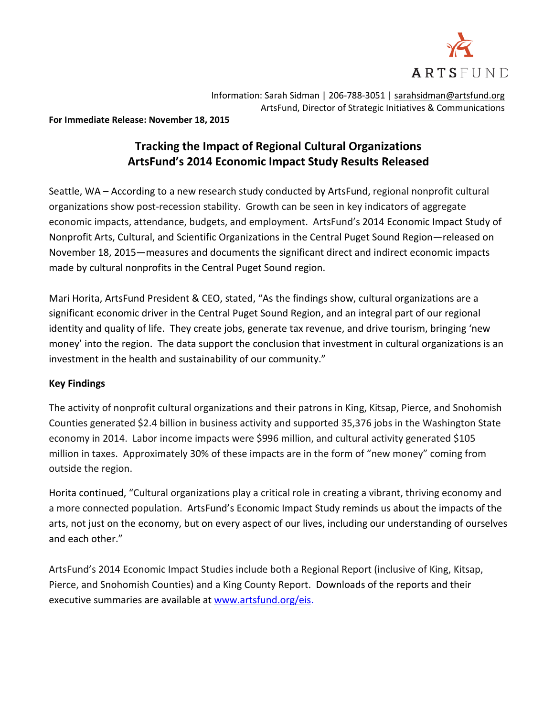

Information: Sarah Sidman | 206-788-3051 | [sarahsidman@artsfund.org](mailto:sarahsidman@artsfund.org) ArtsFund, Director of Strategic Initiatives & Communications

**For Immediate Release: November 18, 2015**

# **Tracking the Impact of Regional Cultural Organizations ArtsFund's 2014 Economic Impact Study Results Released**

Seattle, WA – According to a new research study conducted by ArtsFund, regional nonprofit cultural organizations show post-recession stability. Growth can be seen in key indicators of aggregate economic impacts, attendance, budgets, and employment. ArtsFund's 2014 Economic Impact Study of Nonprofit Arts, Cultural, and Scientific Organizations in the Central Puget Sound Region—released on November 18, 2015—measures and documents the significant direct and indirect economic impacts made by cultural nonprofits in the Central Puget Sound region.

Mari Horita, ArtsFund President & CEO, stated, "As the findings show, cultural organizations are a significant economic driver in the Central Puget Sound Region, and an integral part of our regional identity and quality of life. They create jobs, generate tax revenue, and drive tourism, bringing 'new money' into the region. The data support the conclusion that investment in cultural organizations is an investment in the health and sustainability of our community."

# **Key Findings**

The activity of nonprofit cultural organizations and their patrons in King, Kitsap, Pierce, and Snohomish Counties generated \$2.4 billion in business activity and supported 35,376 jobs in the Washington State economy in 2014. Labor income impacts were \$996 million, and cultural activity generated \$105 million in taxes. Approximately 30% of these impacts are in the form of "new money" coming from outside the region.

Horita continued, "Cultural organizations play a critical role in creating a vibrant, thriving economy and a more connected population. ArtsFund's Economic Impact Study reminds us about the impacts of the arts, not just on the economy, but on every aspect of our lives, including our understanding of ourselves and each other."

ArtsFund's 2014 Economic Impact Studies include both a Regional Report (inclusive of King, Kitsap, Pierce, and Snohomish Counties) and a King County Report.Downloads of the reports and their executive summaries are available a[t www.artsfund.org/eis.](http://www.artsfund.org/eis)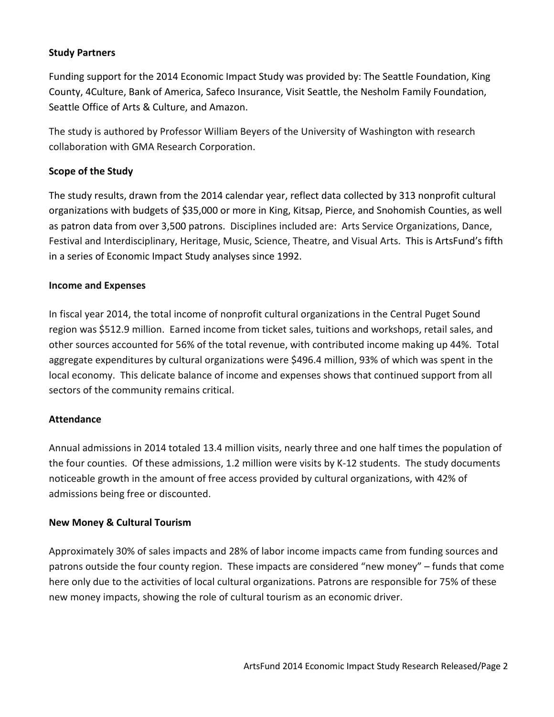# **Study Partners**

Funding support for the 2014 Economic Impact Study was provided by: The Seattle Foundation, King County, 4Culture, Bank of America, Safeco Insurance, Visit Seattle, the Nesholm Family Foundation, Seattle Office of Arts & Culture, and Amazon.

The study is authored by Professor William Beyers of the University of Washington with research collaboration with GMA Research Corporation.

# **Scope of the Study**

The study results, drawn from the 2014 calendar year, reflect data collected by 313 nonprofit cultural organizations with budgets of \$35,000 or more in King, Kitsap, Pierce, and Snohomish Counties, as well as patron data from over 3,500 patrons. Disciplines included are: Arts Service Organizations, Dance, Festival and Interdisciplinary, Heritage, Music, Science, Theatre, and Visual Arts. This is ArtsFund's fifth in a series of Economic Impact Study analyses since 1992.

#### **Income and Expenses**

In fiscal year 2014, the total income of nonprofit cultural organizations in the Central Puget Sound region was \$512.9 million. Earned income from ticket sales, tuitions and workshops, retail sales, and other sources accounted for 56% of the total revenue, with contributed income making up 44%. Total aggregate expenditures by cultural organizations were \$496.4 million, 93% of which was spent in the local economy. This delicate balance of income and expenses shows that continued support from all sectors of the community remains critical.

#### **Attendance**

Annual admissions in 2014 totaled 13.4 million visits, nearly three and one half times the population of the four counties. Of these admissions, 1.2 million were visits by K-12 students. The study documents noticeable growth in the amount of free access provided by cultural organizations, with 42% of admissions being free or discounted.

#### **New Money & Cultural Tourism**

Approximately 30% of sales impacts and 28% of labor income impacts came from funding sources and patrons outside the four county region. These impacts are considered "new money" – funds that come here only due to the activities of local cultural organizations. Patrons are responsible for 75% of these new money impacts, showing the role of cultural tourism as an economic driver.